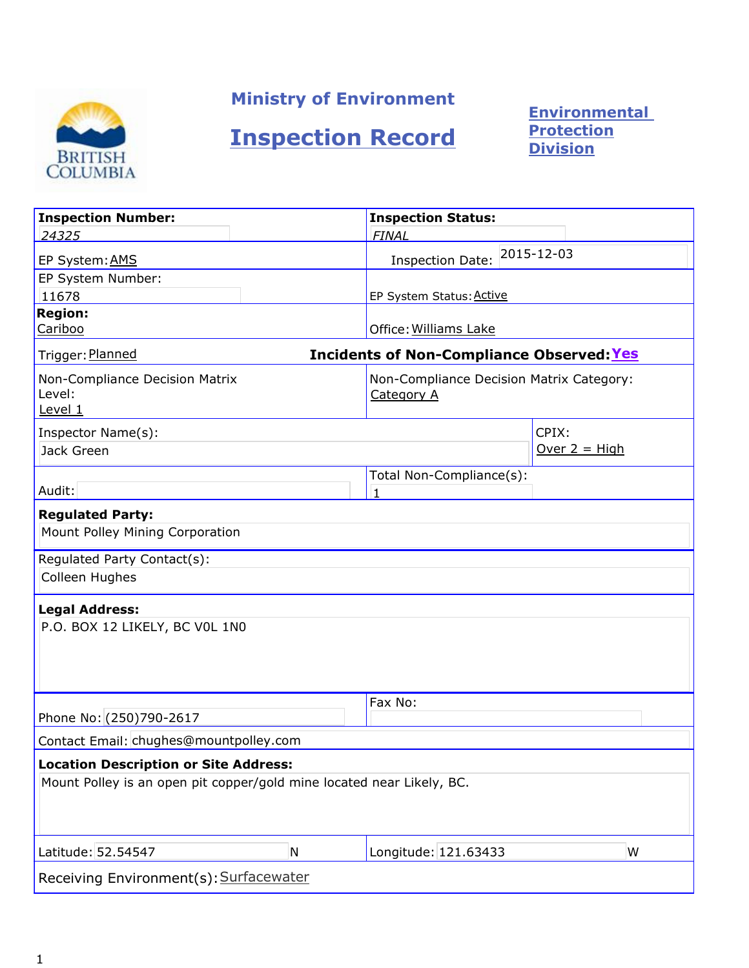

# Ministry of Environment

# Inspection Record

**Environmental** Protection Division

| <b>Inspection Number:</b>                                                                                             | <b>Inspection Status:</b>                        |                                          |  |
|-----------------------------------------------------------------------------------------------------------------------|--------------------------------------------------|------------------------------------------|--|
| 24325                                                                                                                 | <b>FINAL</b>                                     |                                          |  |
| EP System: AMS                                                                                                        | <b>Inspection Date:</b>                          | 2015-12-03                               |  |
| EP System Number:                                                                                                     |                                                  |                                          |  |
| 11678                                                                                                                 | EP System Status: Active                         |                                          |  |
| <b>Region:</b><br>Cariboo                                                                                             | Office: Williams Lake                            |                                          |  |
| Trigger: Planned                                                                                                      | <b>Incidents of Non-Compliance Observed: Yes</b> |                                          |  |
| Non-Compliance Decision Matrix<br>Level:<br>Level 1                                                                   | <b>Category A</b>                                | Non-Compliance Decision Matrix Category: |  |
| Inspector Name(s):                                                                                                    |                                                  | CPIX:                                    |  |
| Jack Green                                                                                                            |                                                  | Over $2 = High$                          |  |
| Audit:                                                                                                                | Total Non-Compliance(s):<br>$\mathbf{1}$         |                                          |  |
| <b>Regulated Party:</b>                                                                                               |                                                  |                                          |  |
| Mount Polley Mining Corporation                                                                                       |                                                  |                                          |  |
| Regulated Party Contact(s):                                                                                           |                                                  |                                          |  |
| Colleen Hughes                                                                                                        |                                                  |                                          |  |
| <b>Legal Address:</b>                                                                                                 |                                                  |                                          |  |
| P.O. BOX 12 LIKELY, BC VOL 1N0                                                                                        |                                                  |                                          |  |
|                                                                                                                       | Fax No:                                          |                                          |  |
| Phone No: (250)790-2617                                                                                               |                                                  |                                          |  |
| Contact Email: chughes@mountpolley.com                                                                                |                                                  |                                          |  |
| <b>Location Description or Site Address:</b><br>Mount Polley is an open pit copper/gold mine located near Likely, BC. |                                                  |                                          |  |
| Latitude: 52.54547<br>N                                                                                               | Longitude: 121.63433                             | W                                        |  |
| Receiving Environment(s): Surfacewater                                                                                |                                                  |                                          |  |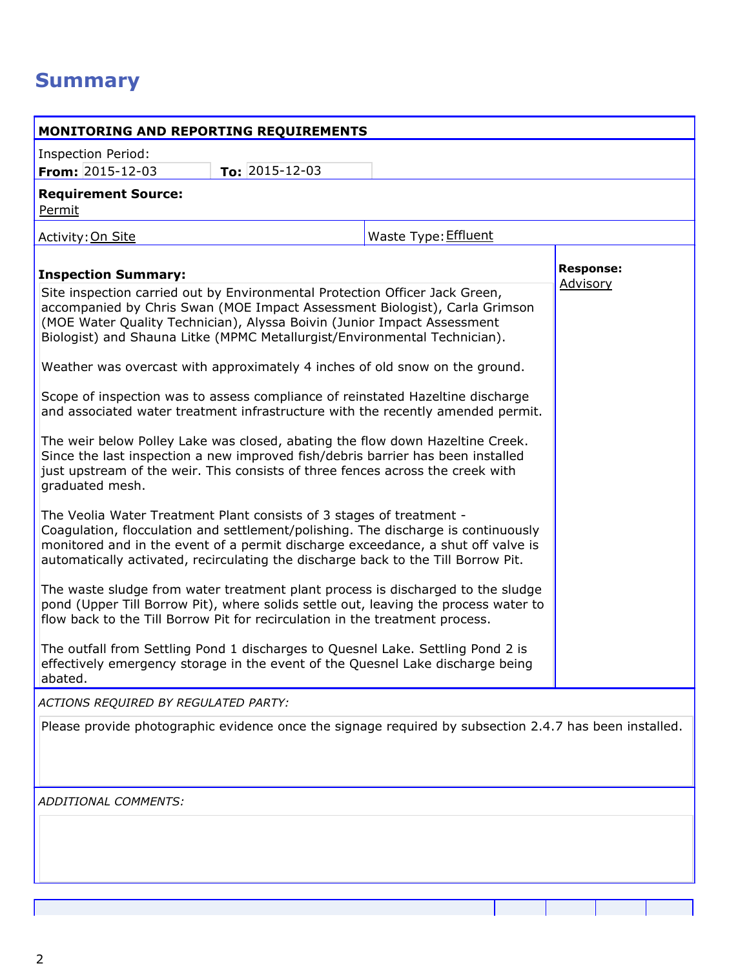# **Summary**

| MONITORING AND REPORTING REQUIREMENTS                                                                                                                                                                                                                                                                                                                                                                                                                                                                                                                                                                                                                                                                                                                                                                                                                                                                                                                                                                                                                                                                                                                                                |                      |                  |  |
|--------------------------------------------------------------------------------------------------------------------------------------------------------------------------------------------------------------------------------------------------------------------------------------------------------------------------------------------------------------------------------------------------------------------------------------------------------------------------------------------------------------------------------------------------------------------------------------------------------------------------------------------------------------------------------------------------------------------------------------------------------------------------------------------------------------------------------------------------------------------------------------------------------------------------------------------------------------------------------------------------------------------------------------------------------------------------------------------------------------------------------------------------------------------------------------|----------------------|------------------|--|
| <b>Inspection Period:</b>                                                                                                                                                                                                                                                                                                                                                                                                                                                                                                                                                                                                                                                                                                                                                                                                                                                                                                                                                                                                                                                                                                                                                            |                      |                  |  |
| From: 2015-12-03<br>To: $2015 - 12 - 03$                                                                                                                                                                                                                                                                                                                                                                                                                                                                                                                                                                                                                                                                                                                                                                                                                                                                                                                                                                                                                                                                                                                                             |                      |                  |  |
| <b>Requirement Source:</b><br>Permit                                                                                                                                                                                                                                                                                                                                                                                                                                                                                                                                                                                                                                                                                                                                                                                                                                                                                                                                                                                                                                                                                                                                                 |                      |                  |  |
| Activity: On Site                                                                                                                                                                                                                                                                                                                                                                                                                                                                                                                                                                                                                                                                                                                                                                                                                                                                                                                                                                                                                                                                                                                                                                    | Waste Type: Effluent |                  |  |
| <b>Inspection Summary:</b>                                                                                                                                                                                                                                                                                                                                                                                                                                                                                                                                                                                                                                                                                                                                                                                                                                                                                                                                                                                                                                                                                                                                                           |                      | <b>Response:</b> |  |
| Site inspection carried out by Environmental Protection Officer Jack Green,<br>accompanied by Chris Swan (MOE Impact Assessment Biologist), Carla Grimson<br>(MOE Water Quality Technician), Alyssa Boivin (Junior Impact Assessment<br>Biologist) and Shauna Litke (MPMC Metallurgist/Environmental Technician).<br>Weather was overcast with approximately 4 inches of old snow on the ground.<br>Scope of inspection was to assess compliance of reinstated Hazeltine discharge<br>and associated water treatment infrastructure with the recently amended permit.<br>The weir below Polley Lake was closed, abating the flow down Hazeltine Creek.<br>Since the last inspection a new improved fish/debris barrier has been installed<br>just upstream of the weir. This consists of three fences across the creek with<br>graduated mesh.<br>The Veolia Water Treatment Plant consists of 3 stages of treatment -<br>Coagulation, flocculation and settlement/polishing. The discharge is continuously<br>monitored and in the event of a permit discharge exceedance, a shut off valve is<br>automatically activated, recirculating the discharge back to the Till Borrow Pit. |                      | Advisory         |  |
| The waste sludge from water treatment plant process is discharged to the sludge<br>pond (Upper Till Borrow Pit), where solids settle out, leaving the process water to<br>flow back to the Till Borrow Pit for recirculation in the treatment process.                                                                                                                                                                                                                                                                                                                                                                                                                                                                                                                                                                                                                                                                                                                                                                                                                                                                                                                               |                      |                  |  |
| The outfall from Settling Pond 1 discharges to Quesnel Lake. Settling Pond 2 is<br>effectively emergency storage in the event of the Quesnel Lake discharge being<br>abated.                                                                                                                                                                                                                                                                                                                                                                                                                                                                                                                                                                                                                                                                                                                                                                                                                                                                                                                                                                                                         |                      |                  |  |
| ACTIONS REQUIRED BY REGULATED PARTY:                                                                                                                                                                                                                                                                                                                                                                                                                                                                                                                                                                                                                                                                                                                                                                                                                                                                                                                                                                                                                                                                                                                                                 |                      |                  |  |
| Please provide photographic evidence once the signage required by subsection 2.4.7 has been installed.                                                                                                                                                                                                                                                                                                                                                                                                                                                                                                                                                                                                                                                                                                                                                                                                                                                                                                                                                                                                                                                                               |                      |                  |  |
| ADDITIONAL COMMENTS:                                                                                                                                                                                                                                                                                                                                                                                                                                                                                                                                                                                                                                                                                                                                                                                                                                                                                                                                                                                                                                                                                                                                                                 |                      |                  |  |
|                                                                                                                                                                                                                                                                                                                                                                                                                                                                                                                                                                                                                                                                                                                                                                                                                                                                                                                                                                                                                                                                                                                                                                                      |                      |                  |  |
|                                                                                                                                                                                                                                                                                                                                                                                                                                                                                                                                                                                                                                                                                                                                                                                                                                                                                                                                                                                                                                                                                                                                                                                      |                      |                  |  |
|                                                                                                                                                                                                                                                                                                                                                                                                                                                                                                                                                                                                                                                                                                                                                                                                                                                                                                                                                                                                                                                                                                                                                                                      |                      |                  |  |
|                                                                                                                                                                                                                                                                                                                                                                                                                                                                                                                                                                                                                                                                                                                                                                                                                                                                                                                                                                                                                                                                                                                                                                                      |                      |                  |  |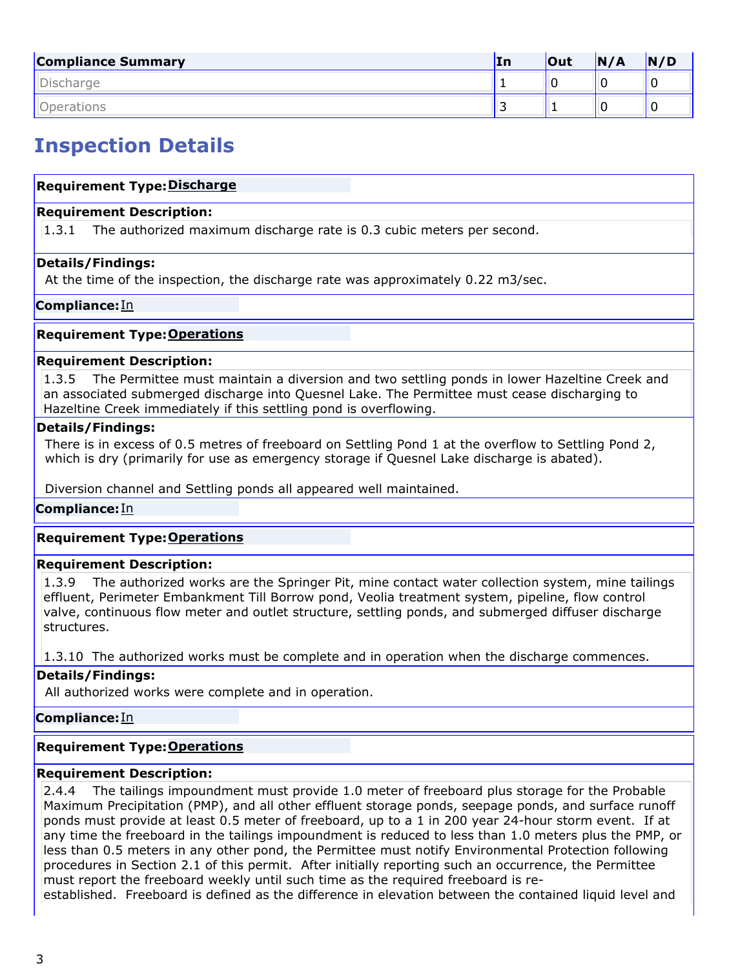| <b>Compliance Summary</b> | In | Out | N/A | N/D |
|---------------------------|----|-----|-----|-----|
| Discharge                 |    |     |     |     |
| Dperations                | -  |     |     |     |

# Inspection Details

# Requirement Type: Discharge

#### Requirement Description:

1.3.1 The authorized maximum discharge rate is 0.3 cubic meters per second.

### Details/Findings:

At the time of the inspection, the discharge rate was approximately 0.22 m3/sec.

### Compliance: In

### **Requirement Type: Operations**

### Requirement Description:

1.3.5 The Permittee must maintain a diversion and two settling ponds in lower Hazeltine Creek and an associated submerged discharge into Quesnel Lake. The Permittee must cease discharging to Hazeltine Creek immediately if this settling pond is overflowing.

### Details/Findings:

There is in excess of 0.5 metres of freeboard on Settling Pond 1 at the overflow to Settling Pond 2, which is dry (primarily for use as emergency storage if Quesnel Lake discharge is abated).

Diversion channel and Settling ponds all appeared well maintained.

# **Compliance:**In

# **Requirement Type: Operations**

# Requirement Description:

1.3.9 The authorized works are the Springer Pit, mine contact water collection system, mine tailings effluent, Perimeter Embankment Till Borrow pond, Veolia treatment system, pipeline, flow control valve, continuous flow meter and outlet structure, settling ponds, and submerged diffuser discharge structures.

1.3.10 The authorized works must be complete and in operation when the discharge commences.

# Details/Findings:

All authorized works were complete and in operation.

#### Compliance: In

# **Requirement Type: Operations**

# Requirement Description:

2.4.4 The tailings impoundment must provide 1.0 meter of freeboard plus storage for the Probable Maximum Precipitation (PMP), and all other effluent storage ponds, seepage ponds, and surface runoff ponds must provide at least 0.5 meter of freeboard, up to a 1 in 200 year 24-hour storm event. If at any time the freeboard in the tailings impoundment is reduced to less than 1.0 meters plus the PMP, or less than 0.5 meters in any other pond, the Permittee must notify Environmental Protection following procedures in Section 2.1 of this permit. After initially reporting such an occurrence, the Permittee must report the freeboard weekly until such time as the required freeboard is re-

established. Freeboard is defined as the difference in elevation between the contained liquid level and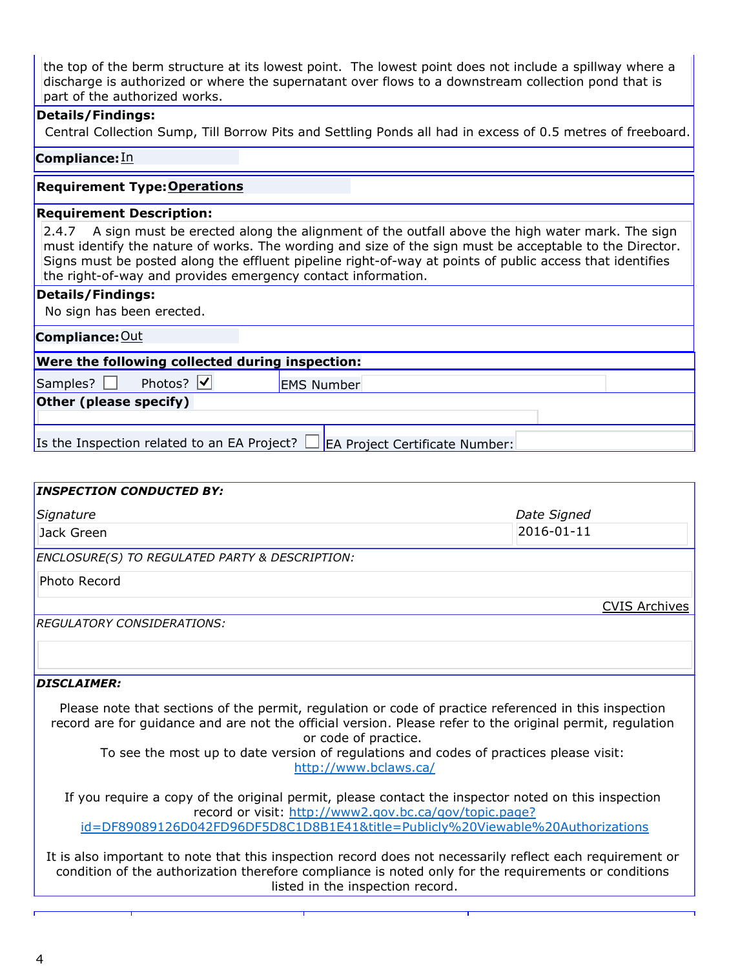the top of the berm structure at its lowest point. The lowest point does not include a spillway where a discharge is authorized or where the supernatant over flows to a downstream collection pond that is part of the authorized works.

### Details/Findings:

Central Collection Sump, Till Borrow Pits and Settling Ponds all had in excess of 0.5 metres of freeboard.

## Compliance: In

# **Requirement Type: Operations**

#### Requirement Description:

2.4.7 A sign must be erected along the alignment of the outfall above the high water mark. The sign must identify the nature of works. The wording and size of the sign must be acceptable to the Director. Signs must be posted along the effluent pipeline right-of-way at points of public access that identifies the right-of-way and provides emergency contact information.

### Details/Findings:

No sign has been erected.

| <b>Compliance: Out</b>                                                        |                   |  |
|-------------------------------------------------------------------------------|-------------------|--|
| Were the following collected during inspection:                               |                   |  |
| Photos? V<br>Samples?                                                         | <b>EMS Number</b> |  |
| Other (please specify)                                                        |                   |  |
|                                                                               |                   |  |
| Is the Inspection related to an EA Project?<br>EA Project Certificate Number: |                   |  |

| <b>INSPECTION CONDUCTED BY:</b>                                                                                                                                                                                                                                                                                                                               |                      |
|---------------------------------------------------------------------------------------------------------------------------------------------------------------------------------------------------------------------------------------------------------------------------------------------------------------------------------------------------------------|----------------------|
| Signature                                                                                                                                                                                                                                                                                                                                                     | Date Signed          |
| Jack Green                                                                                                                                                                                                                                                                                                                                                    | 2016-01-11           |
| <b>ENCLOSURE(S) TO REGULATED PARTY &amp; DESCRIPTION:</b>                                                                                                                                                                                                                                                                                                     |                      |
| Photo Record                                                                                                                                                                                                                                                                                                                                                  |                      |
|                                                                                                                                                                                                                                                                                                                                                               | <b>CVIS Archives</b> |
| REGULATORY CONSIDERATIONS:                                                                                                                                                                                                                                                                                                                                    |                      |
|                                                                                                                                                                                                                                                                                                                                                               |                      |
| <b>DISCLAIMER:</b>                                                                                                                                                                                                                                                                                                                                            |                      |
| Please note that sections of the permit, regulation or code of practice referenced in this inspection<br>record are for guidance and are not the official version. Please refer to the original permit, regulation<br>or code of practice.<br>To see the most up to date version of regulations and codes of practices please visit:<br>http://www.bclaws.ca/ |                      |
|                                                                                                                                                                                                                                                                                                                                                               |                      |

If you require a copy of the original permit, please contact the inspector noted on this inspection record or visit: http://www2.gov.bc.ca/gov/topic.page? id=DF89089126D042FD96DF5D8C1D8B1E41&title=Publicly%20Viewable%20Authorizations

It is also important to note that this inspection record does not necessarily reflect each requirement or condition of the authorization therefore compliance is noted only for the requirements or conditions listed in the inspection record.